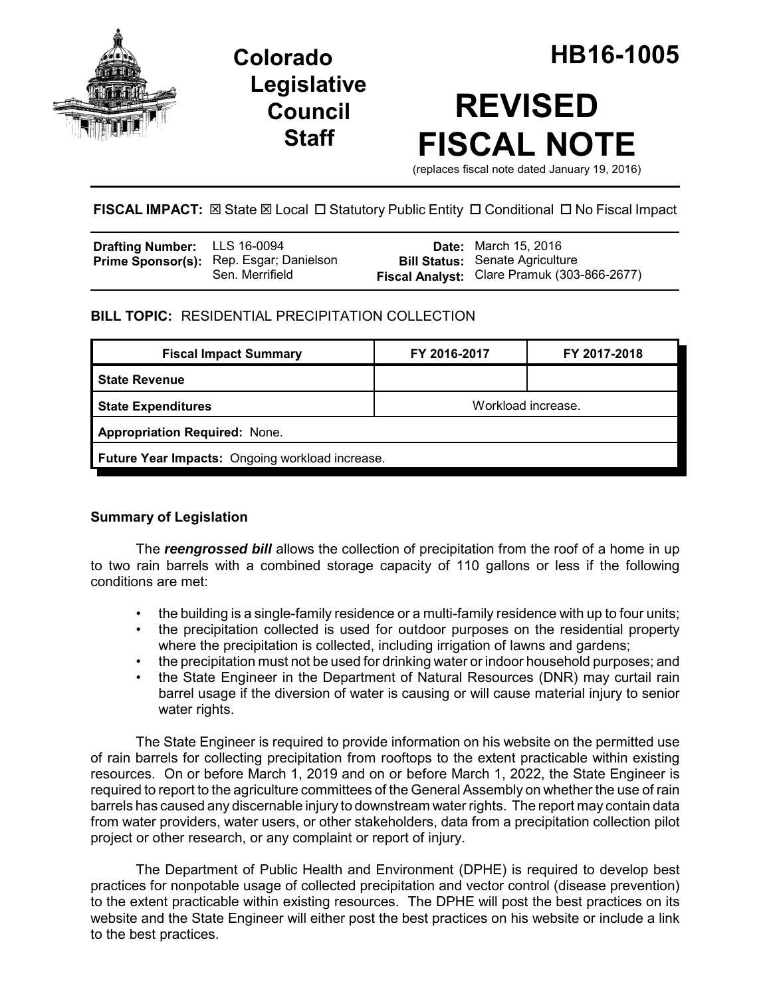

# **Legislative Council Staff**

# **REVISED FISCAL NOTE**

(replaces fiscal note dated January 19, 2016)

## **FISCAL IMPACT:** ⊠ State ⊠ Local □ Statutory Public Entity □ Conditional □ No Fiscal Impact

| <b>Drafting Number:</b> LLS 16-0094 |                                                            | <b>Date:</b> March 15, 2016                                                           |
|-------------------------------------|------------------------------------------------------------|---------------------------------------------------------------------------------------|
|                                     | Prime Sponsor(s): Rep. Esgar; Danielson<br>Sen. Merrifield | <b>Bill Status:</b> Senate Agriculture<br>Fiscal Analyst: Clare Pramuk (303-866-2677) |

### **BILL TOPIC:** RESIDENTIAL PRECIPITATION COLLECTION

| FY 2016-2017                                    | FY 2017-2018 |  |  |  |  |
|-------------------------------------------------|--------------|--|--|--|--|
|                                                 |              |  |  |  |  |
| Workload increase.                              |              |  |  |  |  |
| <b>Appropriation Required: None.</b>            |              |  |  |  |  |
| Future Year Impacts: Ongoing workload increase. |              |  |  |  |  |
|                                                 |              |  |  |  |  |

#### **Summary of Legislation**

The *reengrossed bill* allows the collection of precipitation from the roof of a home in up to two rain barrels with a combined storage capacity of 110 gallons or less if the following conditions are met:

- the building is a single-family residence or a multi-family residence with up to four units;
- the precipitation collected is used for outdoor purposes on the residential property where the precipitation is collected, including irrigation of lawns and gardens;
- the precipitation must not be used for drinking water or indoor household purposes; and
- the State Engineer in the Department of Natural Resources (DNR) may curtail rain barrel usage if the diversion of water is causing or will cause material injury to senior water rights.

The State Engineer is required to provide information on his website on the permitted use of rain barrels for collecting precipitation from rooftops to the extent practicable within existing resources. On or before March 1, 2019 and on or before March 1, 2022, the State Engineer is required to report to the agriculture committees of the General Assembly on whether the use of rain barrels has caused any discernable injury to downstream water rights. The report may contain data from water providers, water users, or other stakeholders, data from a precipitation collection pilot project or other research, or any complaint or report of injury.

The Department of Public Health and Environment (DPHE) is required to develop best practices for nonpotable usage of collected precipitation and vector control (disease prevention) to the extent practicable within existing resources. The DPHE will post the best practices on its website and the State Engineer will either post the best practices on his website or include a link to the best practices.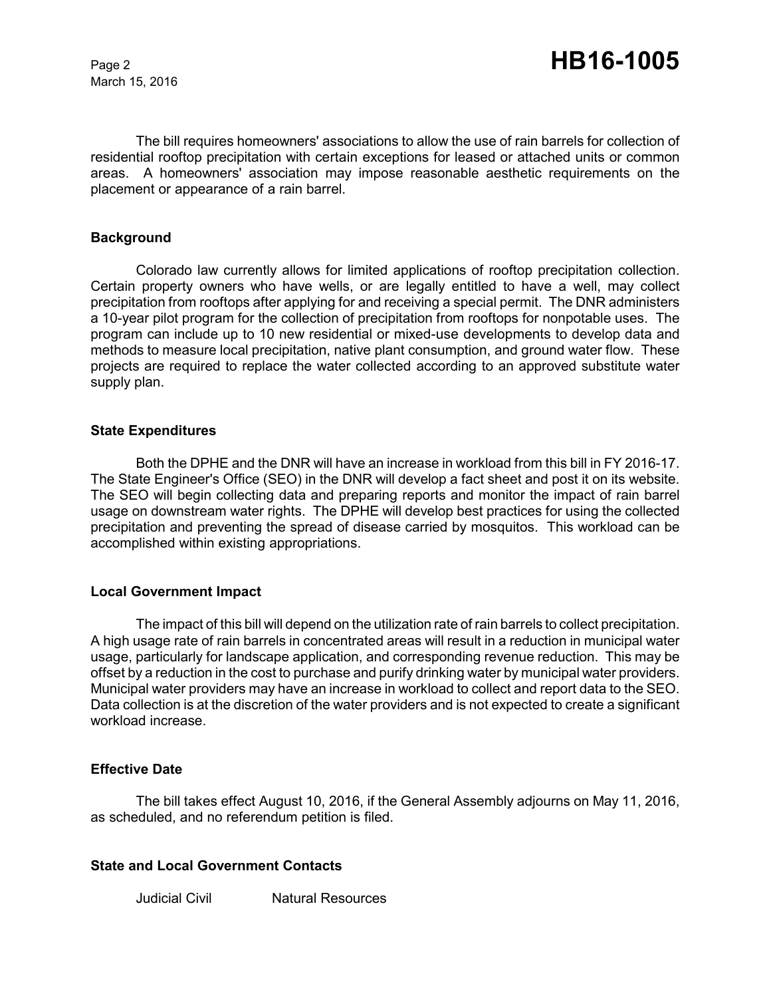March 15, 2016

The bill requires homeowners' associations to allow the use of rain barrels for collection of residential rooftop precipitation with certain exceptions for leased or attached units or common areas. A homeowners' association may impose reasonable aesthetic requirements on the placement or appearance of a rain barrel.

#### **Background**

Colorado law currently allows for limited applications of rooftop precipitation collection. Certain property owners who have wells, or are legally entitled to have a well, may collect precipitation from rooftops after applying for and receiving a special permit. The DNR administers a 10-year pilot program for the collection of precipitation from rooftops for nonpotable uses. The program can include up to 10 new residential or mixed-use developments to develop data and methods to measure local precipitation, native plant consumption, and ground water flow. These projects are required to replace the water collected according to an approved substitute water supply plan.

#### **State Expenditures**

Both the DPHE and the DNR will have an increase in workload from this bill in FY 2016-17. The State Engineer's Office (SEO) in the DNR will develop a fact sheet and post it on its website. The SEO will begin collecting data and preparing reports and monitor the impact of rain barrel usage on downstream water rights. The DPHE will develop best practices for using the collected precipitation and preventing the spread of disease carried by mosquitos. This workload can be accomplished within existing appropriations.

#### **Local Government Impact**

The impact of this bill will depend on the utilization rate of rain barrels to collect precipitation. A high usage rate of rain barrels in concentrated areas will result in a reduction in municipal water usage, particularly for landscape application, and corresponding revenue reduction. This may be offset by a reduction in the cost to purchase and purify drinking water by municipal water providers. Municipal water providers may have an increase in workload to collect and report data to the SEO. Data collection is at the discretion of the water providers and is not expected to create a significant workload increase.

#### **Effective Date**

The bill takes effect August 10, 2016, if the General Assembly adjourns on May 11, 2016, as scheduled, and no referendum petition is filed.

#### **State and Local Government Contacts**

Judicial Civil Natural Resources